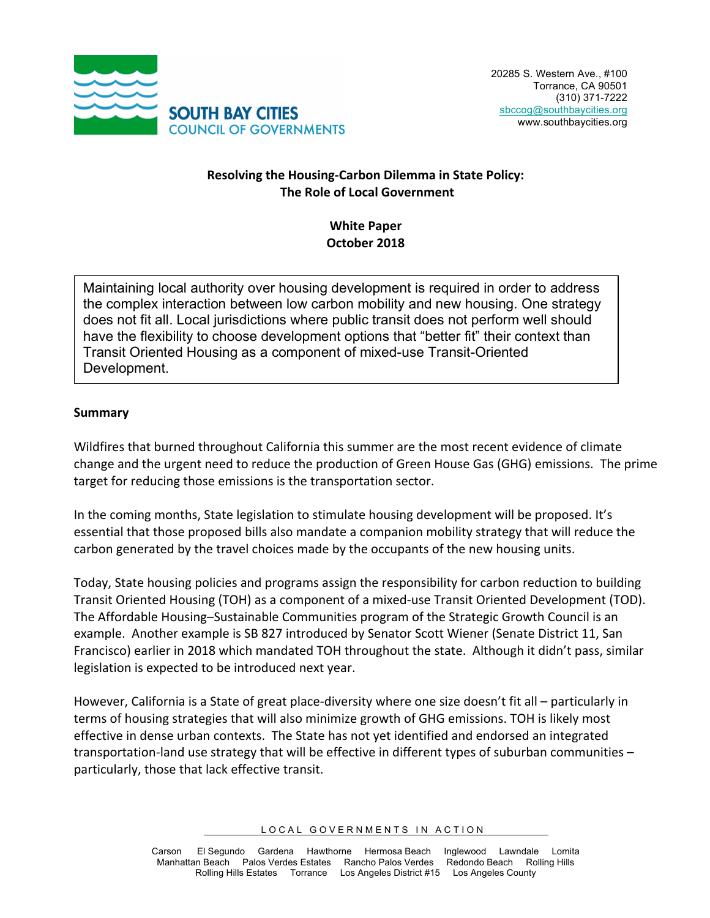

#### **Resolving the Housing-Carbon Dilemma in State Policy: The Role of Local Government**

## **White Paper October 2018**

Maintaining local authority over housing development is required in order to address the complex interaction between low carbon mobility and new housing. One strategy does not fit all. Local jurisdictions where public transit does not perform well should have the flexibility to choose development options that "better fit" their context than Transit Oriented Housing as a component of mixed-use Transit-Oriented Development.

#### **Summary**

Wildfires that burned throughout California this summer are the most recent evidence of climate change and the urgent need to reduce the production of Green House Gas (GHG) emissions. The prime target for reducing those emissions is the transportation sector.

In the coming months, State legislation to stimulate housing development will be proposed. It's essential that those proposed bills also mandate a companion mobility strategy that will reduce the carbon generated by the travel choices made by the occupants of the new housing units.

Today, State housing policies and programs assign the responsibility for carbon reduction to building Transit Oriented Housing (TOH) as a component of a mixed-use Transit Oriented Development (TOD). The Affordable Housing–Sustainable Communities program of the Strategic Growth Council is an example. Another example is SB 827 introduced by Senator Scott Wiener (Senate District 11, San Francisco) earlier in 2018 which mandated TOH throughout the state. Although it didn't pass, similar legislation is expected to be introduced next year.

However, California is a State of great place-diversity where one size doesn't fit all – particularly in terms of housing strategies that will also minimize growth of GHG emissions. TOH is likely most effective in dense urban contexts. The State has not yet identified and endorsed an integrated transportation-land use strategy that will be effective in different types of suburban communities  $$ particularly, those that lack effective transit.

LOCAL GOVERNMENTS IN ACTION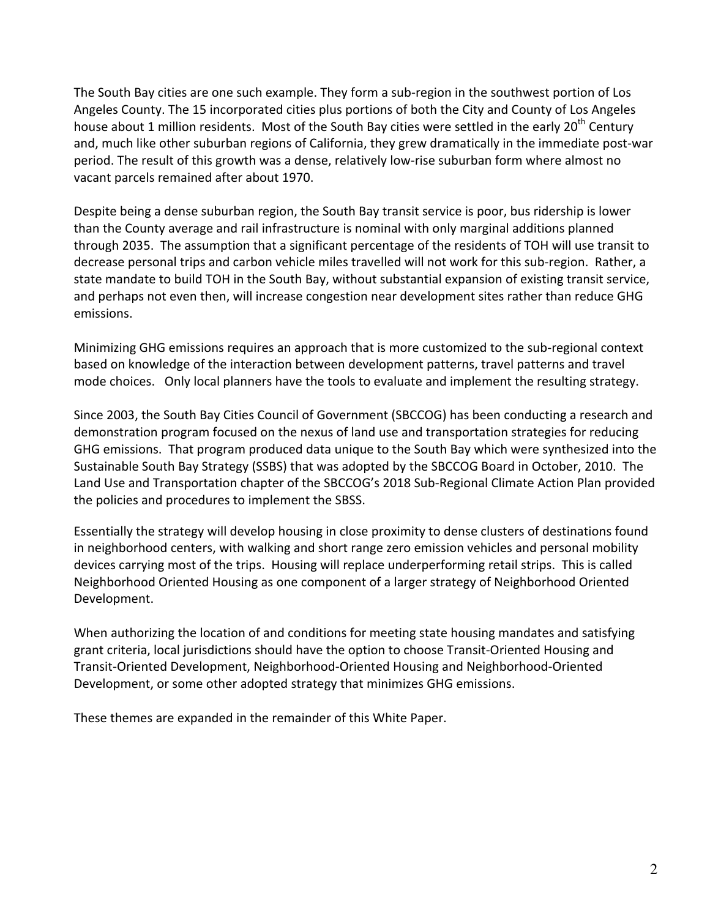The South Bay cities are one such example. They form a sub-region in the southwest portion of Los Angeles County. The 15 incorporated cities plus portions of both the City and County of Los Angeles house about 1 million residents. Most of the South Bay cities were settled in the early 20<sup>th</sup> Century and, much like other suburban regions of California, they grew dramatically in the immediate post-war period. The result of this growth was a dense, relatively low-rise suburban form where almost no vacant parcels remained after about 1970.

Despite being a dense suburban region, the South Bay transit service is poor, bus ridership is lower than the County average and rail infrastructure is nominal with only marginal additions planned through 2035. The assumption that a significant percentage of the residents of TOH will use transit to decrease personal trips and carbon vehicle miles travelled will not work for this sub-region. Rather, a state mandate to build TOH in the South Bay, without substantial expansion of existing transit service, and perhaps not even then, will increase congestion near development sites rather than reduce GHG emissions. 

Minimizing GHG emissions requires an approach that is more customized to the sub-regional context based on knowledge of the interaction between development patterns, travel patterns and travel mode choices. Only local planners have the tools to evaluate and implement the resulting strategy.

Since 2003, the South Bay Cities Council of Government (SBCCOG) has been conducting a research and demonstration program focused on the nexus of land use and transportation strategies for reducing GHG emissions. That program produced data unique to the South Bay which were synthesized into the Sustainable South Bay Strategy (SSBS) that was adopted by the SBCCOG Board in October, 2010. The Land Use and Transportation chapter of the SBCCOG's 2018 Sub-Regional Climate Action Plan provided the policies and procedures to implement the SBSS.

Essentially the strategy will develop housing in close proximity to dense clusters of destinations found in neighborhood centers, with walking and short range zero emission vehicles and personal mobility devices carrying most of the trips. Housing will replace underperforming retail strips. This is called Neighborhood Oriented Housing as one component of a larger strategy of Neighborhood Oriented Development.

When authorizing the location of and conditions for meeting state housing mandates and satisfying grant criteria, local jurisdictions should have the option to choose Transit-Oriented Housing and Transit-Oriented Development, Neighborhood-Oriented Housing and Neighborhood-Oriented Development, or some other adopted strategy that minimizes GHG emissions.

These themes are expanded in the remainder of this White Paper.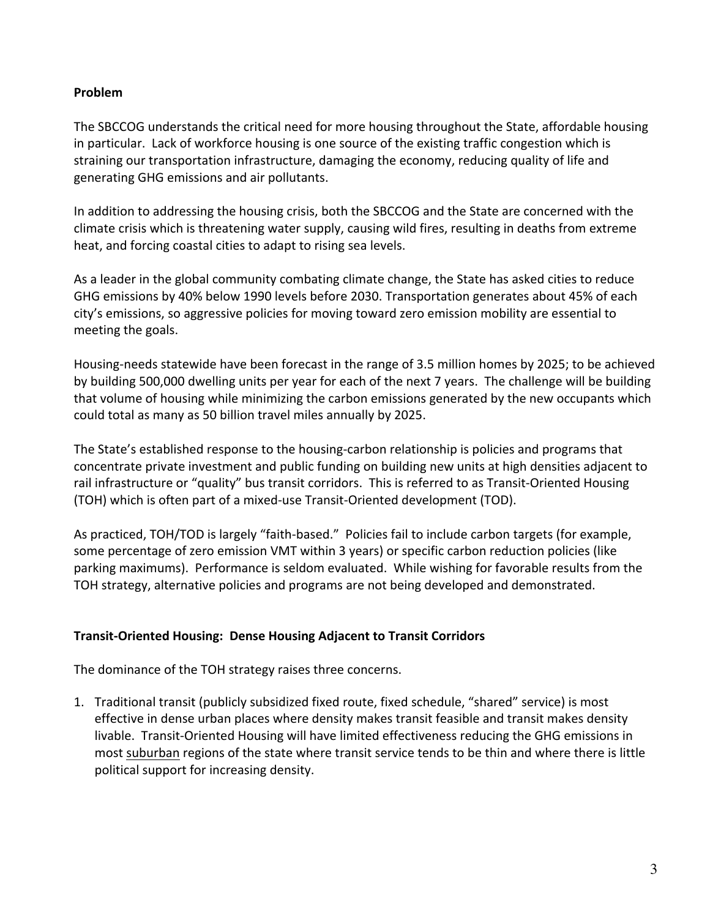#### **Problem**

The SBCCOG understands the critical need for more housing throughout the State, affordable housing in particular. Lack of workforce housing is one source of the existing traffic congestion which is straining our transportation infrastructure, damaging the economy, reducing quality of life and generating GHG emissions and air pollutants.

In addition to addressing the housing crisis, both the SBCCOG and the State are concerned with the climate crisis which is threatening water supply, causing wild fires, resulting in deaths from extreme heat, and forcing coastal cities to adapt to rising sea levels.

As a leader in the global community combating climate change, the State has asked cities to reduce GHG emissions by 40% below 1990 levels before 2030. Transportation generates about 45% of each city's emissions, so aggressive policies for moving toward zero emission mobility are essential to meeting the goals.

Housing-needs statewide have been forecast in the range of 3.5 million homes by 2025; to be achieved by building 500,000 dwelling units per year for each of the next 7 years. The challenge will be building that volume of housing while minimizing the carbon emissions generated by the new occupants which could total as many as 50 billion travel miles annually by 2025.

The State's established response to the housing-carbon relationship is policies and programs that concentrate private investment and public funding on building new units at high densities adjacent to rail infrastructure or "quality" bus transit corridors. This is referred to as Transit-Oriented Housing (TOH) which is often part of a mixed-use Transit-Oriented development (TOD).

As practiced, TOH/TOD is largely "faith-based." Policies fail to include carbon targets (for example, some percentage of zero emission VMT within 3 years) or specific carbon reduction policies (like parking maximums). Performance is seldom evaluated. While wishing for favorable results from the TOH strategy, alternative policies and programs are not being developed and demonstrated.

#### **Transit-Oriented Housing: Dense Housing Adjacent to Transit Corridors**

The dominance of the TOH strategy raises three concerns.

1. Traditional transit (publicly subsidized fixed route, fixed schedule, "shared" service) is most effective in dense urban places where density makes transit feasible and transit makes density livable. Transit-Oriented Housing will have limited effectiveness reducing the GHG emissions in most suburban regions of the state where transit service tends to be thin and where there is little political support for increasing density.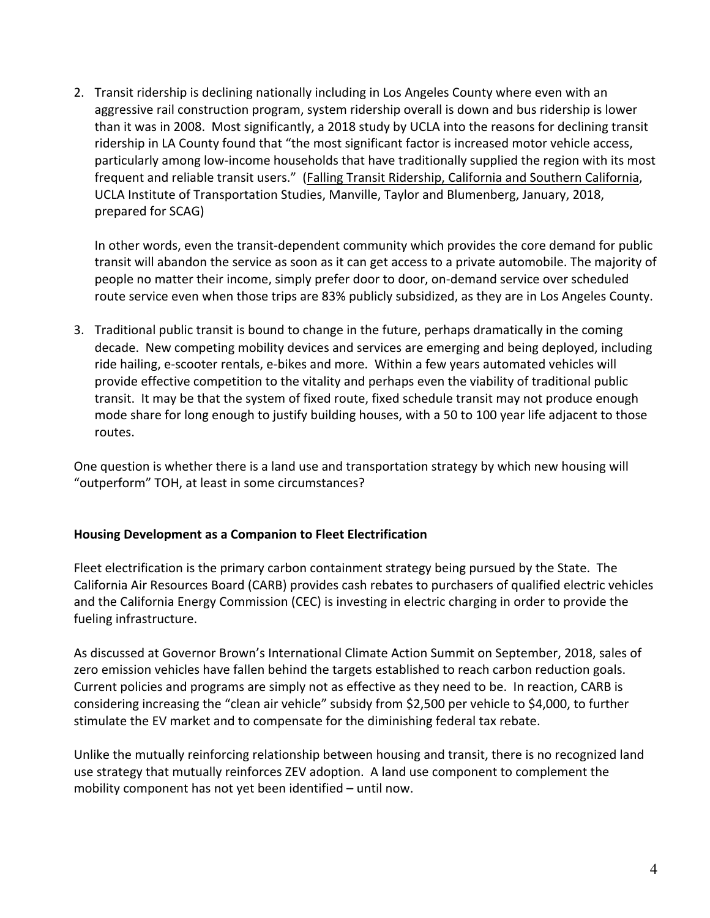2. Transit ridership is declining nationally including in Los Angeles County where even with an aggressive rail construction program, system ridership overall is down and bus ridership is lower than it was in 2008. Most significantly, a 2018 study by UCLA into the reasons for declining transit ridership in LA County found that "the most significant factor is increased motor vehicle access, particularly among low-income households that have traditionally supplied the region with its most frequent and reliable transit users." (Falling Transit Ridership, California and Southern California, UCLA Institute of Transportation Studies, Manville, Taylor and Blumenberg, January, 2018, prepared for SCAG)

In other words, even the transit-dependent community which provides the core demand for public transit will abandon the service as soon as it can get access to a private automobile. The majority of people no matter their income, simply prefer door to door, on-demand service over scheduled route service even when those trips are 83% publicly subsidized, as they are in Los Angeles County.

3. Traditional public transit is bound to change in the future, perhaps dramatically in the coming decade. New competing mobility devices and services are emerging and being deployed, including ride hailing, e-scooter rentals, e-bikes and more. Within a few years automated vehicles will provide effective competition to the vitality and perhaps even the viability of traditional public transit. It may be that the system of fixed route, fixed schedule transit may not produce enough mode share for long enough to justify building houses, with a 50 to 100 year life adjacent to those routes.

One question is whether there is a land use and transportation strategy by which new housing will "outperform" TOH, at least in some circumstances?

#### **Housing Development as a Companion to Fleet Electrification**

Fleet electrification is the primary carbon containment strategy being pursued by the State. The California Air Resources Board (CARB) provides cash rebates to purchasers of qualified electric vehicles and the California Energy Commission (CEC) is investing in electric charging in order to provide the fueling infrastructure.

As discussed at Governor Brown's International Climate Action Summit on September, 2018, sales of zero emission vehicles have fallen behind the targets established to reach carbon reduction goals. Current policies and programs are simply not as effective as they need to be. In reaction, CARB is considering increasing the "clean air vehicle" subsidy from \$2,500 per vehicle to \$4,000, to further stimulate the EV market and to compensate for the diminishing federal tax rebate.

Unlike the mutually reinforcing relationship between housing and transit, there is no recognized land use strategy that mutually reinforces ZEV adoption. A land use component to complement the mobility component has not yet been identified  $-$  until now.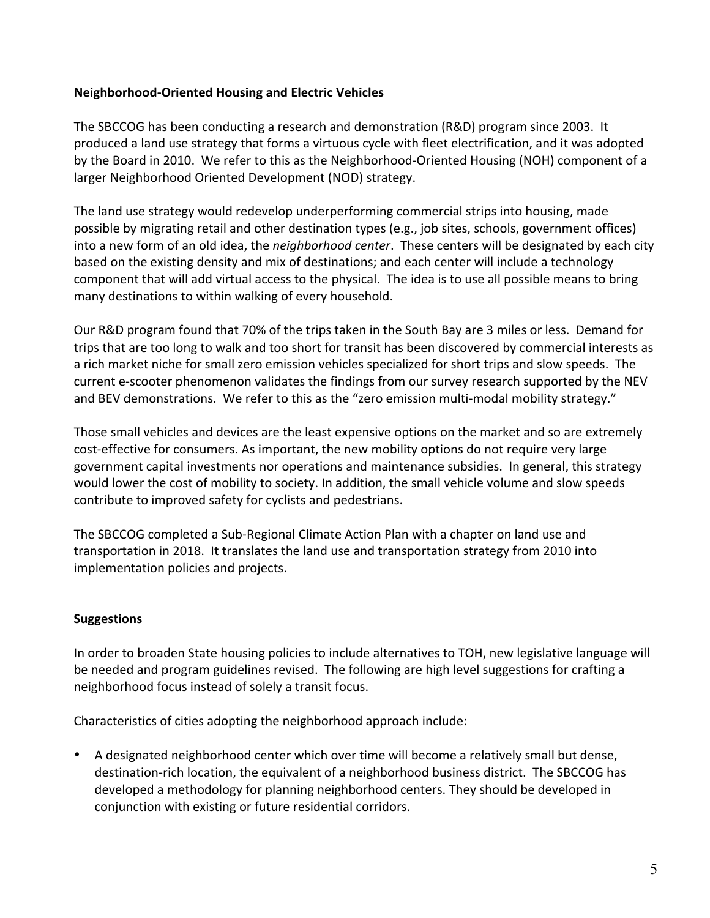### **Neighborhood-Oriented Housing and Electric Vehicles**

The SBCCOG has been conducting a research and demonstration (R&D) program since 2003. It produced a land use strategy that forms a virtuous cycle with fleet electrification, and it was adopted by the Board in 2010. We refer to this as the Neighborhood-Oriented Housing (NOH) component of a larger Neighborhood Oriented Development (NOD) strategy.

The land use strategy would redevelop underperforming commercial strips into housing, made possible by migrating retail and other destination types (e.g., job sites, schools, government offices) into a new form of an old idea, the *neighborhood center*. These centers will be designated by each city based on the existing density and mix of destinations; and each center will include a technology component that will add virtual access to the physical. The idea is to use all possible means to bring many destinations to within walking of every household.

Our R&D program found that 70% of the trips taken in the South Bay are 3 miles or less. Demand for trips that are too long to walk and too short for transit has been discovered by commercial interests as a rich market niche for small zero emission vehicles specialized for short trips and slow speeds. The current e-scooter phenomenon validates the findings from our survey research supported by the NEV and BEV demonstrations. We refer to this as the "zero emission multi-modal mobility strategy."

Those small vehicles and devices are the least expensive options on the market and so are extremely cost-effective for consumers. As important, the new mobility options do not require very large government capital investments nor operations and maintenance subsidies. In general, this strategy would lower the cost of mobility to society. In addition, the small vehicle volume and slow speeds contribute to improved safety for cyclists and pedestrians.

The SBCCOG completed a Sub-Regional Climate Action Plan with a chapter on land use and transportation in 2018. It translates the land use and transportation strategy from 2010 into implementation policies and projects.

# **Suggestions**

In order to broaden State housing policies to include alternatives to TOH, new legislative language will be needed and program guidelines revised. The following are high level suggestions for crafting a neighborhood focus instead of solely a transit focus.

Characteristics of cities adopting the neighborhood approach include:

A designated neighborhood center which over time will become a relatively small but dense, destination-rich location, the equivalent of a neighborhood business district. The SBCCOG has developed a methodology for planning neighborhood centers. They should be developed in conjunction with existing or future residential corridors.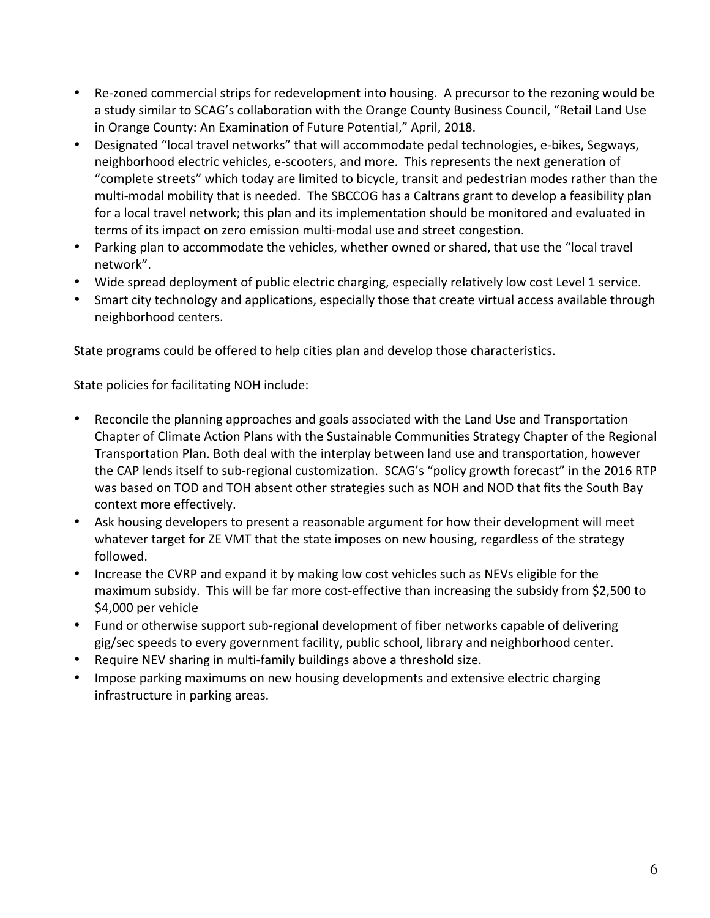- Re-zoned commercial strips for redevelopment into housing. A precursor to the rezoning would be a study similar to SCAG's collaboration with the Orange County Business Council, "Retail Land Use in Orange County: An Examination of Future Potential," April, 2018.
- Designated "local travel networks" that will accommodate pedal technologies, e-bikes, Segways, neighborhood electric vehicles, e-scooters, and more. This represents the next generation of "complete streets" which today are limited to bicycle, transit and pedestrian modes rather than the multi-modal mobility that is needed. The SBCCOG has a Caltrans grant to develop a feasibility plan for a local travel network; this plan and its implementation should be monitored and evaluated in terms of its impact on zero emission multi-modal use and street congestion.
- Parking plan to accommodate the vehicles, whether owned or shared, that use the "local travel network".
- Wide spread deployment of public electric charging, especially relatively low cost Level 1 service.
- Smart city technology and applications, especially those that create virtual access available through neighborhood centers.

State programs could be offered to help cities plan and develop those characteristics.

State policies for facilitating NOH include:

- Reconcile the planning approaches and goals associated with the Land Use and Transportation Chapter of Climate Action Plans with the Sustainable Communities Strategy Chapter of the Regional Transportation Plan. Both deal with the interplay between land use and transportation, however the CAP lends itself to sub-regional customization. SCAG's "policy growth forecast" in the 2016 RTP was based on TOD and TOH absent other strategies such as NOH and NOD that fits the South Bay context more effectively.
- Ask housing developers to present a reasonable argument for how their development will meet whatever target for ZE VMT that the state imposes on new housing, regardless of the strategy followed.
- Increase the CVRP and expand it by making low cost vehicles such as NEVs eligible for the maximum subsidy. This will be far more cost-effective than increasing the subsidy from \$2,500 to \$4,000 per vehicle
- Fund or otherwise support sub-regional development of fiber networks capable of delivering gig/sec speeds to every government facility, public school, library and neighborhood center.
- Require NEV sharing in multi-family buildings above a threshold size.
- Impose parking maximums on new housing developments and extensive electric charging infrastructure in parking areas.